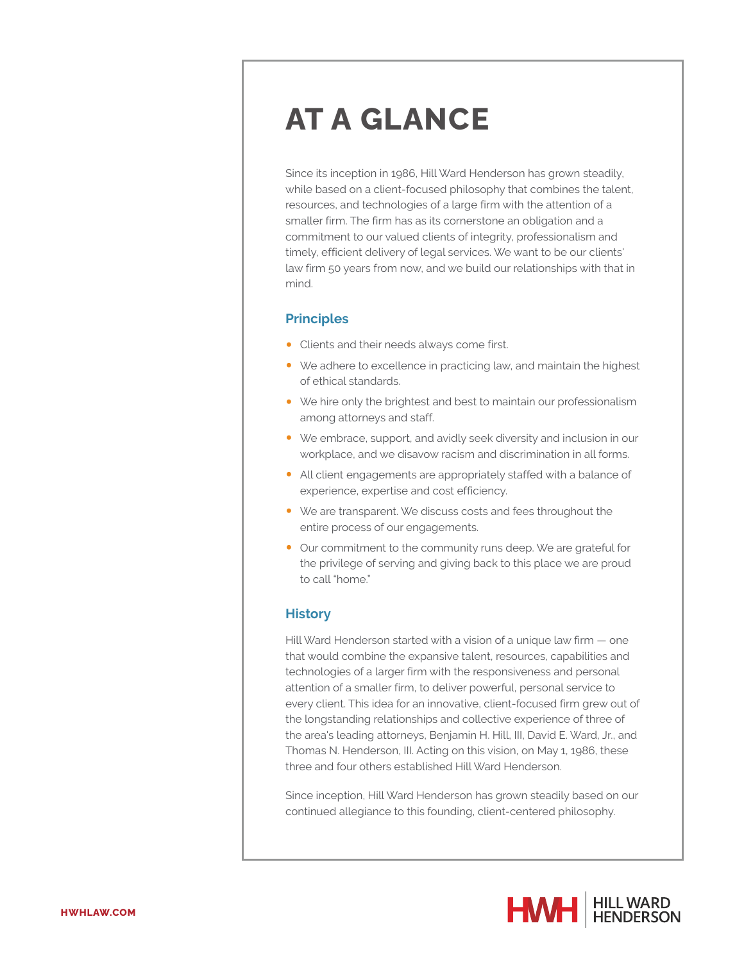# **AT A GLANCE**

Since its inception in 1986, Hill Ward Henderson has grown steadily, while based on a client-focused philosophy that combines the talent, resources, and technologies of a large firm with the attention of a smaller firm. The firm has as its cornerstone an obligation and a commitment to our valued clients of integrity, professionalism and timely, efficient delivery of legal services. We want to be our clients' law firm 50 years from now, and we build our relationships with that in mind.

#### **Principles**

- Clients and their needs always come first.
- We adhere to excellence in practicing law, and maintain the highest of ethical standards.
- We hire only the brightest and best to maintain our professionalism among attorneys and staff.
- We embrace, support, and avidly seek diversity and inclusion in our workplace, and we disavow racism and discrimination in all forms.
- All client engagements are appropriately staffed with a balance of experience, expertise and cost efficiency.
- We are transparent. We discuss costs and fees throughout the entire process of our engagements.
- Our commitment to the community runs deep. We are grateful for the privilege of serving and giving back to this place we are proud to call "home."

### **History**

Hill Ward Henderson started with a vision of a unique law firm — one that would combine the expansive talent, resources, capabilities and technologies of a larger firm with the responsiveness and personal attention of a smaller firm, to deliver powerful, personal service to every client. This idea for an innovative, client-focused firm grew out of the longstanding relationships and collective experience of three of the area's leading attorneys, Benjamin H. Hill, III, David E. Ward, Jr., and Thomas N. Henderson, III. Acting on this vision, on May 1, 1986, these three and four others established Hill Ward Henderson.

Since inception, Hill Ward Henderson has grown steadily based on our continued allegiance to this founding, client-centered philosophy.